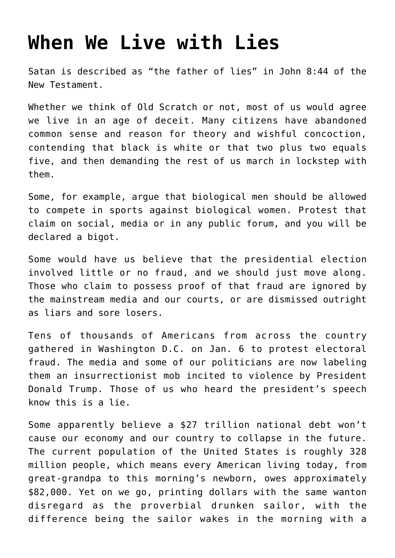## **[When We Live with Lies](https://intellectualtakeout.org/2021/01/when-we-live-with-lies/)**

Satan is described as "the father of lies" in John 8:44 of the New Testament.

Whether we think of Old Scratch or not, most of us would agree we live in an age of deceit. Many citizens have abandoned common sense and reason for theory and wishful concoction, contending that black is white or that two plus two equals five, and then demanding the rest of us march in lockstep with them.

Some, for example, argue that biological men should be allowed to compete in sports against biological women. Protest that claim on social, media or in any public forum, and you will be declared a bigot.

Some would have us believe that the presidential election involved little or no fraud, and we should just move along. Those who claim to possess proof of that fraud are ignored by the mainstream media and our courts, or are dismissed outright as liars and sore losers.

Tens of thousands of Americans from across the country gathered in Washington D.C. on Jan. 6 to protest electoral fraud. The media and some of our politicians are now labeling them an insurrectionist mob incited to violence by President Donald Trump. Those of us who heard the president's speech know this is a lie.

Some apparently believe a \$27 trillion national debt won't cause our economy and our country to collapse in the future. The current population of the United States is roughly 328 million people, which means every American living today, from great-grandpa to this morning's newborn, owes approximately \$82,000. Yet on we go, printing dollars with the same wanton disregard as the proverbial drunken sailor, with the difference being the sailor wakes in the morning with a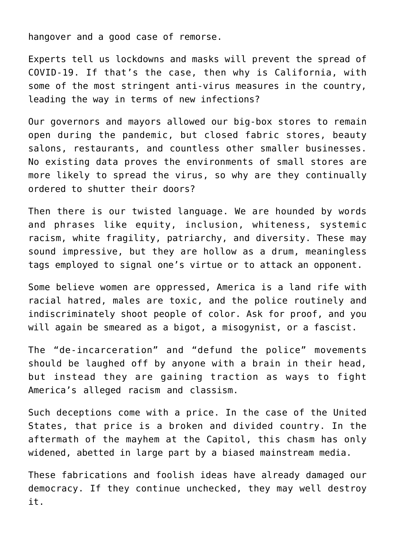hangover and a good case of remorse.

Experts tell us lockdowns and masks will prevent the spread of COVID-19. If that's the case, then why is California, with some of the most stringent anti-virus measures in the country, leading the way in terms of new infections?

Our governors and mayors allowed our big-box stores to remain open during the pandemic, but closed fabric stores, beauty salons, restaurants, and countless other smaller businesses. No existing data proves the environments of small stores are more likely to spread the virus, so why are they continually ordered to shutter their doors?

Then there is our twisted language. We are hounded by words and phrases like equity, inclusion, whiteness, systemic racism, white fragility, patriarchy, and diversity. These may sound impressive, but they are hollow as a drum, meaningless tags employed to signal one's virtue or to attack an opponent.

Some believe women are oppressed, America is a land rife with racial hatred, males are toxic, and the police routinely and indiscriminately shoot people of color. Ask for proof, and you will again be smeared as a bigot, a misogynist, or a fascist.

The "de-incarceration" and "defund the police" movements should be laughed off by anyone with a brain in their head, but instead they are gaining traction as ways to fight America's alleged racism and classism.

Such deceptions come with a price. In the case of the United States, that price is a broken and divided country. In the aftermath of the mayhem at the Capitol, this chasm has only widened, abetted in large part by a biased mainstream media.

These fabrications and foolish ideas have already damaged our democracy. If they continue unchecked, they may well destroy it.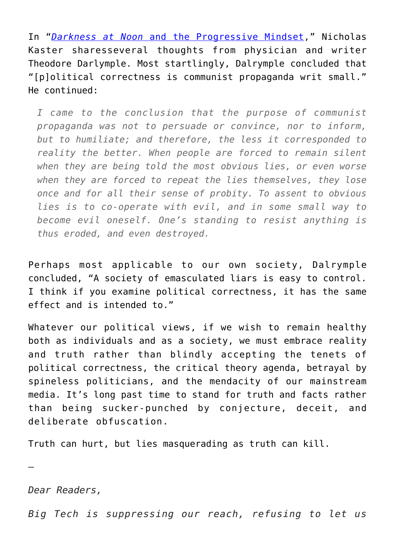In "*[Darkness at Noon](https://www.americanthinker.com/articles/2020/12/emdarkness_at_noonem_and_the_progressive_mindset.html)* [and the Progressive Mindset,](https://www.americanthinker.com/articles/2020/12/emdarkness_at_noonem_and_the_progressive_mindset.html)" Nicholas Kaster sharesseveral thoughts from physician and writer Theodore Darlymple. Most startlingly, Dalrymple concluded that "[p]olitical correctness is communist propaganda writ small." He continued:

*I came to the conclusion that the purpose of communist propaganda was not to persuade or convince, nor to inform, but to humiliate; and therefore, the less it corresponded to reality the better. When people are forced to remain silent when they are being told the most obvious lies, or even worse when they are forced to repeat the lies themselves, they lose once and for all their sense of probity. To assent to obvious lies is to co-operate with evil, and in some small way to become evil oneself. One's standing to resist anything is thus eroded, and even destroyed.*

Perhaps most applicable to our own society, Dalrymple concluded, "A society of emasculated liars is easy to control. I think if you examine political correctness, it has the same effect and is intended to."

Whatever our political views, if we wish to remain healthy both as individuals and as a society, we must embrace reality and truth rather than blindly accepting the tenets of political correctness, the critical theory agenda, betrayal by spineless politicians, and the mendacity of our mainstream media. It's long past time to stand for truth and facts rather than being sucker-punched by conjecture, deceit, and deliberate obfuscation.

Truth can hurt, but lies masquerading as truth can kill.

*Dear Readers,*

—

*Big Tech is suppressing our reach, refusing to let us*